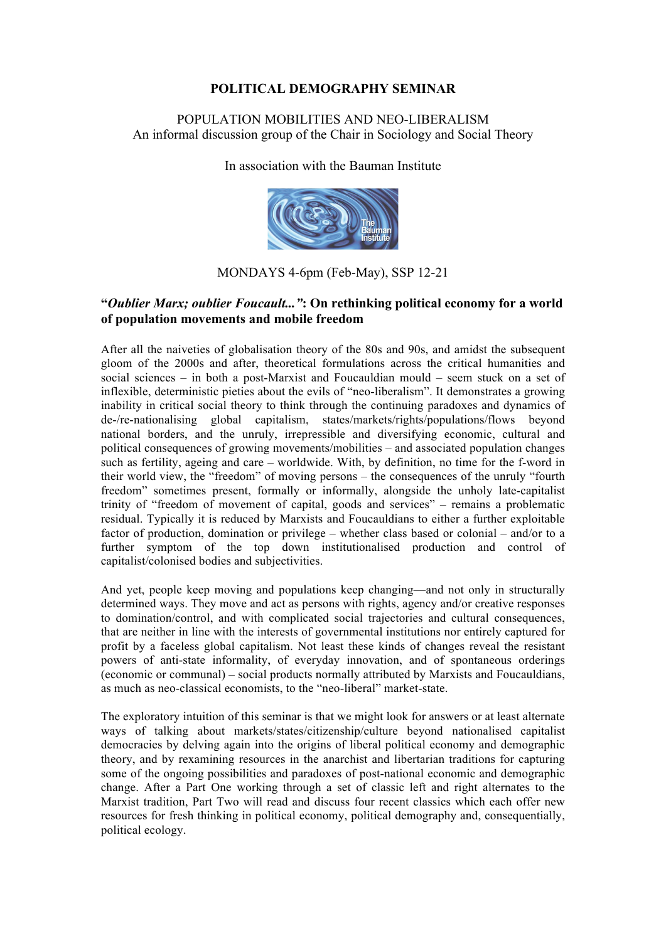# **POLITICAL DEMOGRAPHY SEMINAR**

# POPULATION MOBILITIES AND NEO-LIBERALISM An informal discussion group of the Chair in Sociology and Social Theory

In association with the Bauman Institute



MONDAYS 4-6pm (Feb-May), SSP 12-21

# **"***Oublier Marx; oublier Foucault..."***: On rethinking political economy for a world of population movements and mobile freedom**

After all the naiveties of globalisation theory of the 80s and 90s, and amidst the subsequent gloom of the 2000s and after, theoretical formulations across the critical humanities and social sciences – in both a post-Marxist and Foucauldian mould – seem stuck on a set of inflexible, deterministic pieties about the evils of "neo-liberalism". It demonstrates a growing inability in critical social theory to think through the continuing paradoxes and dynamics of de-/re-nationalising global capitalism, states/markets/rights/populations/flows beyond national borders, and the unruly, irrepressible and diversifying economic, cultural and political consequences of growing movements/mobilities – and associated population changes such as fertility, ageing and care – worldwide. With, by definition, no time for the f-word in their world view, the "freedom" of moving persons – the consequences of the unruly "fourth freedom" sometimes present, formally or informally, alongside the unholy late-capitalist trinity of "freedom of movement of capital, goods and services" – remains a problematic residual. Typically it is reduced by Marxists and Foucauldians to either a further exploitable factor of production, domination or privilege – whether class based or colonial – and/or to a further symptom of the top down institutionalised production and control of capitalist/colonised bodies and subjectivities.

And yet, people keep moving and populations keep changing—and not only in structurally determined ways. They move and act as persons with rights, agency and/or creative responses to domination/control, and with complicated social trajectories and cultural consequences, that are neither in line with the interests of governmental institutions nor entirely captured for profit by a faceless global capitalism. Not least these kinds of changes reveal the resistant powers of anti-state informality, of everyday innovation, and of spontaneous orderings (economic or communal) – social products normally attributed by Marxists and Foucauldians, as much as neo-classical economists, to the "neo-liberal" market-state.

The exploratory intuition of this seminar is that we might look for answers or at least alternate ways of talking about markets/states/citizenship/culture beyond nationalised capitalist democracies by delving again into the origins of liberal political economy and demographic theory, and by rexamining resources in the anarchist and libertarian traditions for capturing some of the ongoing possibilities and paradoxes of post-national economic and demographic change. After a Part One working through a set of classic left and right alternates to the Marxist tradition, Part Two will read and discuss four recent classics which each offer new resources for fresh thinking in political economy, political demography and, consequentially, political ecology.